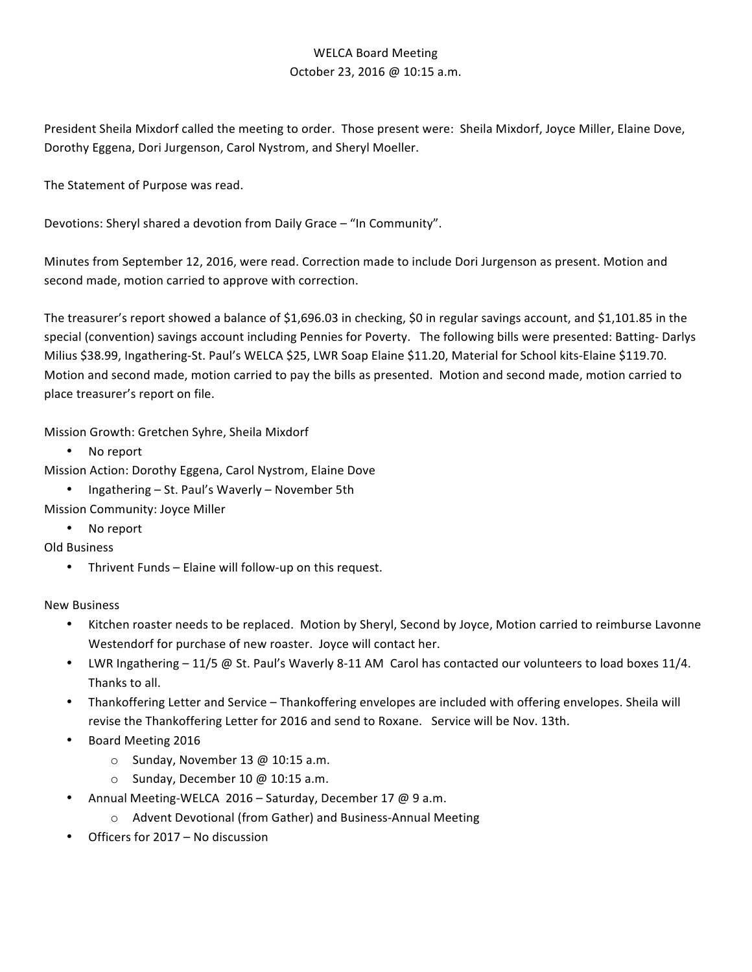## WELCA Board Meeting October 23, 2016 @ 10:15 a.m.

President Sheila Mixdorf called the meeting to order. Those present were: Sheila Mixdorf, Joyce Miller, Elaine Dove, Dorothy Eggena, Dori Jurgenson, Carol Nystrom, and Sheryl Moeller.

The Statement of Purpose was read.

Devotions: Sheryl shared a devotion from Daily Grace - "In Community".

Minutes from September 12, 2016, were read. Correction made to include Dori Jurgenson as present. Motion and second made, motion carried to approve with correction.

The treasurer's report showed a balance of \$1,696.03 in checking, \$0 in regular savings account, and \$1,101.85 in the special (convention) savings account including Pennies for Poverty. The following bills were presented: Batting-Darlys Milius \$38.99, Ingathering-St. Paul's WELCA \$25, LWR Soap Elaine \$11.20, Material for School kits-Elaine \$119.70. Motion and second made, motion carried to pay the bills as presented. Motion and second made, motion carried to place treasurer's report on file.

Mission Growth: Gretchen Syhre, Sheila Mixdorf

• No report

Mission Action: Dorothy Eggena, Carol Nystrom, Elaine Dove

- Ingathering St. Paul's Waverly November 5th
- Mission Community: Joyce Miller
	- No report

Old Business

• Thrivent Funds - Elaine will follow-up on this request.

New Business

- Kitchen roaster needs to be replaced. Motion by Sheryl, Second by Joyce, Motion carried to reimburse Lavonne Westendorf for purchase of new roaster. Joyce will contact her.
- LWR Ingathering  $-11/5$  @ St. Paul's Waverly 8-11 AM Carol has contacted our volunteers to load boxes 11/4. Thanks to all.
- Thankoffering Letter and Service Thankoffering envelopes are included with offering envelopes. Sheila will revise the Thankoffering Letter for 2016 and send to Roxane. Service will be Nov. 13th.
- Board Meeting 2016
	- $\circ$  Sunday, November 13 @ 10:15 a.m.
	- $\circ$  Sunday, December 10 @ 10:15 a.m.
- Annual Meeting-WELCA 2016 Saturday, December 17 @ 9 a.m.
	- o Advent Devotional (from Gather) and Business-Annual Meeting
- Officers for 2017 No discussion